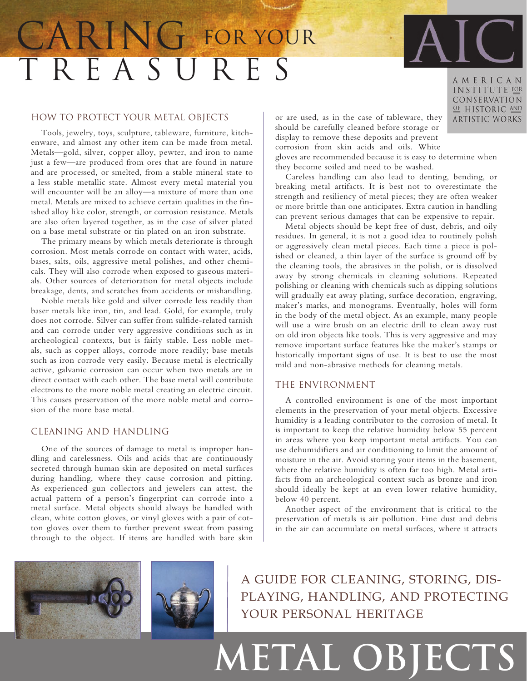## T R E A S U R E S CARING FOR YOUR



Tools, jewelry, toys, sculpture, tableware, furniture, kitchenware, and almost any other item can be made from metal. Metals—gold, silver, copper alloy, pewter, and iron to name just a few—are produced from ores that are found in nature and are processed, or smelted, from a stable mineral state to a less stable metallic state. Almost every metal material you will encounter will be an alloy—a mixture of more than one metal. Metals are mixed to achieve certain qualities in the finished alloy like color, strength, or corrosion resistance. Metals are also often layered together, as in the case of silver plated on a base metal substrate or tin plated on an iron substrate.

The primary means by which metals deteriorate is through corrosion. Most metals corrode on contact with water, acids, bases, salts, oils, aggressive metal polishes, and other chemicals. They will also corrode when exposed to gaseous materials. Other sources of deterioration for metal objects include breakage, dents, and scratches from accidents or mishandling.

Noble metals like gold and silver corrode less readily than baser metals like iron, tin, and lead. Gold, for example, truly does not corrode. Silver can suffer from sulfide-related tarnish and can corrode under very aggressive conditions such as in archeological contexts, but is fairly stable. Less noble metals, such as copper alloys, corrode more readily; base metals such as iron corrode very easily. Because metal is electrically active, galvanic corrosion can occur when two metals are in direct contact with each other. The base metal will contribute electrons to the more noble metal creating an electric circuit. This causes preservation of the more noble metal and corrosion of the more base metal.

### Cleaning and Handling

One of the sources of damage to metal is improper handling and carelessness. Oils and acids that are continuously secreted through human skin are deposited on metal surfaces during handling, where they cause corrosion and pitting. As experienced gun collectors and jewelers can attest, the actual pattern of a person's fingerprint can corrode into a metal surface. Metal objects should always be handled with clean, white cotton gloves, or vinyl gloves with a pair of cotton gloves over them to further prevent sweat from passing through to the object. If items are handled with bare skin or are used, as in the case of tableware, they should be carefully cleaned before storage or display to remove these deposits and prevent corrosion from skin acids and oils. White

gloves are recommended because it is easy to determine when they become soiled and need to be washed.

Careless handling can also lead to denting, bending, or breaking metal artifacts. It is best not to overestimate the strength and resiliency of metal pieces; they are often weaker or more brittle than one anticipates. Extra caution in handling can prevent serious damages that can be expensive to repair.

Metal objects should be kept free of dust, debris, and oily residues. In general, it is not a good idea to routinely polish or aggressively clean metal pieces. Each time a piece is polished or cleaned, a thin layer of the surface is ground off by the cleaning tools, the abrasives in the polish, or is dissolved away by strong chemicals in cleaning solutions. Repeated polishing or cleaning with chemicals such as dipping solutions will gradually eat away plating, surface decoration, engraving, maker's marks, and monograms. Eventually, holes will form in the body of the metal object. As an example, many people will use a wire brush on an electric drill to clean away rust on old iron objects like tools. This is very aggressive and may remove important surface features like the maker's stamps or historically important signs of use. It is best to use the most mild and non-abrasive methods for cleaning metals.

#### The Environment

A controlled environment is one of the most important elements in the preservation of your metal objects. Excessive humidity is a leading contributor to the corrosion of metal. It is important to keep the relative humidity below 55 percent in areas where you keep important metal artifacts. You can use dehumidifiers and air conditioning to limit the amount of moisture in the air. Avoid storing your items in the basement, where the relative humidity is often far too high. Metal artifacts from an archeological context such as bronze and iron should ideally be kept at an even lower relative humidity, below 40 percent.

Another aspect of the environment that is critical to the preservation of metals is air pollution. Fine dust and debris in the air can accumulate on metal surfaces, where it attracts





A guide for cleaning, storing, displaying, handling, and protecting your personal heritage

# **Metal Objects**

AMERICAN INSTITUTE FOR CONSERVATION OF HISTORIC AND **ARTISTIC WORKS**